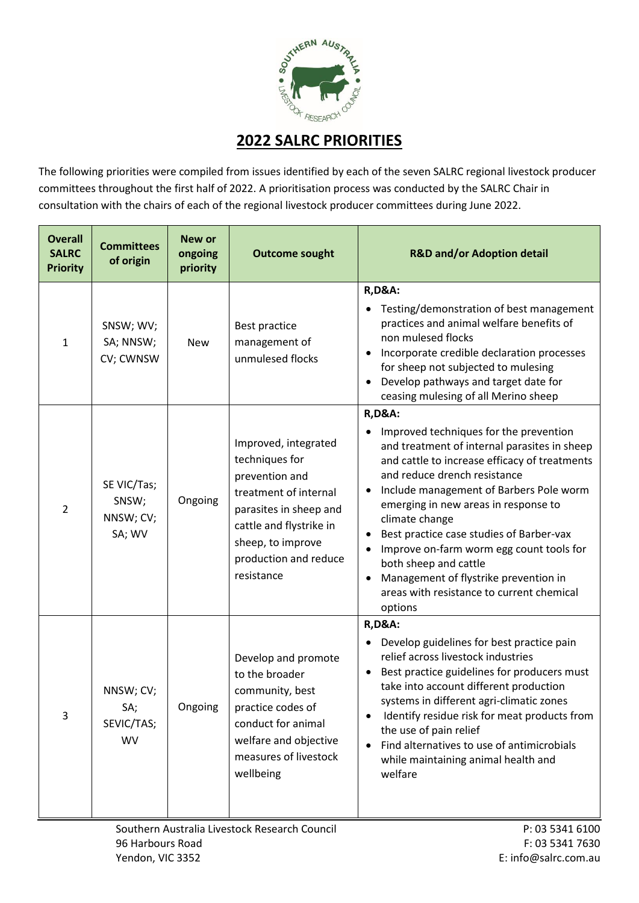

## **2022 SALRC PRIORITIES**

The following priorities were compiled from issues identified by each of the seven SALRC regional livestock producer committees throughout the first half of 2022. A prioritisation process was conducted by the SALRC Chair in consultation with the chairs of each of the regional livestock producer committees during June 2022.

| <b>Overall</b><br><b>SALRC</b><br><b>Priority</b> | <b>Committees</b><br>of origin              | <b>New or</b><br>ongoing<br>priority | <b>Outcome sought</b>                                                                                                                                                                              | <b>R&amp;D and/or Adoption detail</b>                                                                                                                                                                                                                                                                                                                                                                                                                                                                               |
|---------------------------------------------------|---------------------------------------------|--------------------------------------|----------------------------------------------------------------------------------------------------------------------------------------------------------------------------------------------------|---------------------------------------------------------------------------------------------------------------------------------------------------------------------------------------------------------------------------------------------------------------------------------------------------------------------------------------------------------------------------------------------------------------------------------------------------------------------------------------------------------------------|
| $\mathbf{1}$                                      | SNSW; WV;<br>SA; NNSW;<br>CV; CWNSW         | <b>New</b>                           | Best practice<br>management of<br>unmulesed flocks                                                                                                                                                 | <b>R,D&amp;A:</b><br>Testing/demonstration of best management<br>practices and animal welfare benefits of<br>non mulesed flocks<br>Incorporate credible declaration processes<br>for sheep not subjected to mulesing<br>Develop pathways and target date for<br>ceasing mulesing of all Merino sheep                                                                                                                                                                                                                |
| $\overline{2}$                                    | SE VIC/Tas;<br>SNSW;<br>NNSW; CV;<br>SA; WV | Ongoing                              | Improved, integrated<br>techniques for<br>prevention and<br>treatment of internal<br>parasites in sheep and<br>cattle and flystrike in<br>sheep, to improve<br>production and reduce<br>resistance | <b>R,D&amp;A:</b><br>Improved techniques for the prevention<br>and treatment of internal parasites in sheep<br>and cattle to increase efficacy of treatments<br>and reduce drench resistance<br>Include management of Barbers Pole worm<br>emerging in new areas in response to<br>climate change<br>Best practice case studies of Barber-vax<br>Improve on-farm worm egg count tools for<br>both sheep and cattle<br>Management of flystrike prevention in<br>areas with resistance to current chemical<br>options |
| 3                                                 | NNSW; CV;<br>SA;<br>SEVIC/TAS;<br><b>WV</b> | Ongoing                              | Develop and promote<br>to the broader<br>community, best<br>practice codes of<br>conduct for animal<br>welfare and objective<br>measures of livestock<br>wellbeing                                 | <b>R,D&amp;A:</b><br>Develop guidelines for best practice pain<br>relief across livestock industries<br>Best practice guidelines for producers must<br>take into account different production<br>systems in different agri-climatic zones<br>Identify residue risk for meat products from<br>the use of pain relief<br>Find alternatives to use of antimicrobials<br>while maintaining animal health and<br>welfare                                                                                                 |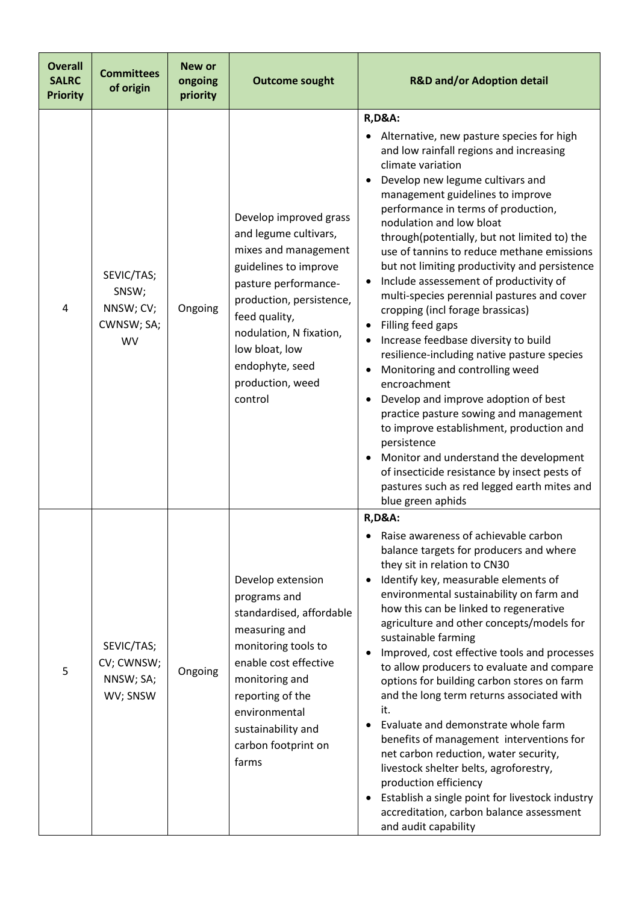| <b>Overall</b><br><b>SALRC</b><br><b>Priority</b> | <b>Committees</b><br>of origin                              | <b>New or</b><br>ongoing<br>priority | <b>Outcome sought</b>                                                                                                                                                                                                                                                | <b>R&amp;D and/or Adoption detail</b>                                                                                                                                                                                                                                                                                                                                                                                                                                                                                                                                                                                                                                                                                                                                                                                                                                                                                                                                                                                          |
|---------------------------------------------------|-------------------------------------------------------------|--------------------------------------|----------------------------------------------------------------------------------------------------------------------------------------------------------------------------------------------------------------------------------------------------------------------|--------------------------------------------------------------------------------------------------------------------------------------------------------------------------------------------------------------------------------------------------------------------------------------------------------------------------------------------------------------------------------------------------------------------------------------------------------------------------------------------------------------------------------------------------------------------------------------------------------------------------------------------------------------------------------------------------------------------------------------------------------------------------------------------------------------------------------------------------------------------------------------------------------------------------------------------------------------------------------------------------------------------------------|
| 4                                                 | SEVIC/TAS;<br>SNSW;<br>NNSW; CV;<br>CWNSW; SA;<br><b>WV</b> | Ongoing                              | Develop improved grass<br>and legume cultivars,<br>mixes and management<br>guidelines to improve<br>pasture performance-<br>production, persistence,<br>feed quality,<br>nodulation, N fixation,<br>low bloat, low<br>endophyte, seed<br>production, weed<br>control | <b>R,D&amp;A:</b><br>Alternative, new pasture species for high<br>and low rainfall regions and increasing<br>climate variation<br>Develop new legume cultivars and<br>management guidelines to improve<br>performance in terms of production,<br>nodulation and low bloat<br>through(potentially, but not limited to) the<br>use of tannins to reduce methane emissions<br>but not limiting productivity and persistence<br>Include assessement of productivity of<br>multi-species perennial pastures and cover<br>cropping (incl forage brassicas)<br>Filling feed gaps<br>Increase feedbase diversity to build<br>resilience-including native pasture species<br>Monitoring and controlling weed<br>encroachment<br>Develop and improve adoption of best<br>practice pasture sowing and management<br>to improve establishment, production and<br>persistence<br>Monitor and understand the development<br>of insecticide resistance by insect pests of<br>pastures such as red legged earth mites and<br>blue green aphids |
| 5                                                 | SEVIC/TAS;<br>CV; CWNSW;<br>NNSW; SA;<br>WV; SNSW           | Ongoing                              | Develop extension<br>programs and<br>standardised, affordable<br>measuring and<br>monitoring tools to<br>enable cost effective<br>monitoring and<br>reporting of the<br>environmental<br>sustainability and<br>carbon footprint on<br>farms                          | <b>R,D&amp;A:</b><br>Raise awareness of achievable carbon<br>balance targets for producers and where<br>they sit in relation to CN30<br>Identify key, measurable elements of<br>environmental sustainability on farm and<br>how this can be linked to regenerative<br>agriculture and other concepts/models for<br>sustainable farming<br>Improved, cost effective tools and processes<br>to allow producers to evaluate and compare<br>options for building carbon stores on farm<br>and the long term returns associated with<br>it.<br>Evaluate and demonstrate whole farm<br>benefits of management interventions for<br>net carbon reduction, water security,<br>livestock shelter belts, agroforestry,<br>production efficiency<br>Establish a single point for livestock industry<br>accreditation, carbon balance assessment<br>and audit capability                                                                                                                                                                   |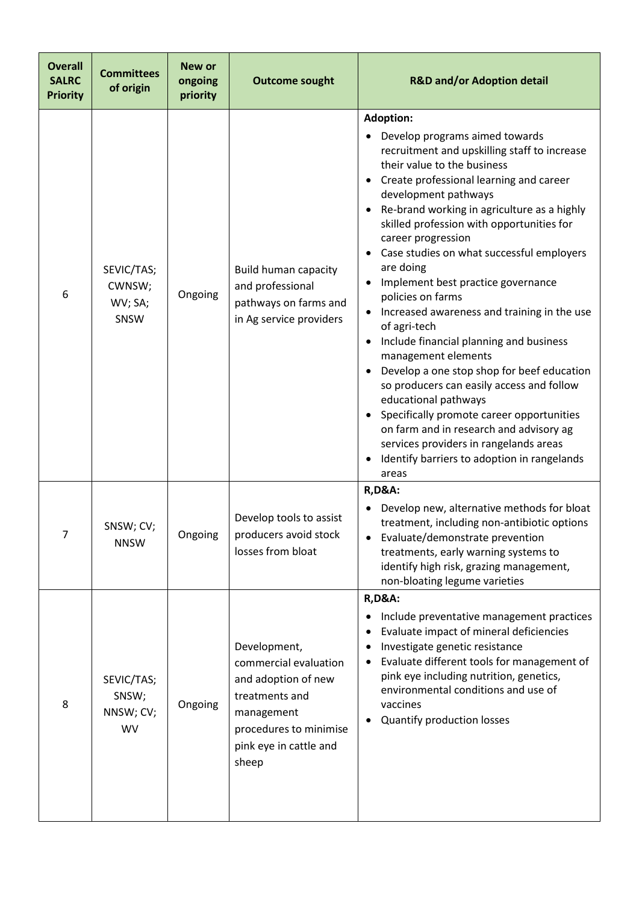| <b>Overall</b><br><b>SALRC</b><br><b>Priority</b> | <b>Committees</b><br>of origin                | <b>New or</b><br>ongoing<br>priority | <b>Outcome sought</b>                                                                                                                                     | <b>R&amp;D and/or Adoption detail</b>                                                                                                                                                                                                                                                                                                                                                                                                                                                                                                                                                                                                                                                                                                                                                                                                                                                                  |
|---------------------------------------------------|-----------------------------------------------|--------------------------------------|-----------------------------------------------------------------------------------------------------------------------------------------------------------|--------------------------------------------------------------------------------------------------------------------------------------------------------------------------------------------------------------------------------------------------------------------------------------------------------------------------------------------------------------------------------------------------------------------------------------------------------------------------------------------------------------------------------------------------------------------------------------------------------------------------------------------------------------------------------------------------------------------------------------------------------------------------------------------------------------------------------------------------------------------------------------------------------|
| 6                                                 | SEVIC/TAS;<br>CWNSW;<br>WV; SA;<br>SNSW       | Ongoing                              | <b>Build human capacity</b><br>and professional<br>pathways on farms and<br>in Ag service providers                                                       | <b>Adoption:</b><br>Develop programs aimed towards<br>recruitment and upskilling staff to increase<br>their value to the business<br>Create professional learning and career<br>development pathways<br>Re-brand working in agriculture as a highly<br>skilled profession with opportunities for<br>career progression<br>Case studies on what successful employers<br>are doing<br>Implement best practice governance<br>policies on farms<br>Increased awareness and training in the use<br>of agri-tech<br>Include financial planning and business<br>management elements<br>Develop a one stop shop for beef education<br>$\bullet$<br>so producers can easily access and follow<br>educational pathways<br>Specifically promote career opportunities<br>on farm and in research and advisory ag<br>services providers in rangelands areas<br>Identify barriers to adoption in rangelands<br>areas |
| 7                                                 | SNSW; CV;<br><b>NNSW</b>                      | Ongoing                              | Develop tools to assist<br>producers avoid stock<br>losses from bloat                                                                                     | <b>R,D&amp;A:</b><br>Develop new, alternative methods for bloat<br>treatment, including non-antibiotic options<br>Evaluate/demonstrate prevention<br>treatments, early warning systems to<br>identify high risk, grazing management,<br>non-bloating legume varieties                                                                                                                                                                                                                                                                                                                                                                                                                                                                                                                                                                                                                                  |
| 8                                                 | SEVIC/TAS;<br>SNSW;<br>NNSW; CV;<br><b>WV</b> | Ongoing                              | Development,<br>commercial evaluation<br>and adoption of new<br>treatments and<br>management<br>procedures to minimise<br>pink eye in cattle and<br>sheep | <b>R,D&amp;A:</b><br>Include preventative management practices<br>Evaluate impact of mineral deficiencies<br>Investigate genetic resistance<br>Evaluate different tools for management of<br>٠<br>pink eye including nutrition, genetics,<br>environmental conditions and use of<br>vaccines<br>Quantify production losses                                                                                                                                                                                                                                                                                                                                                                                                                                                                                                                                                                             |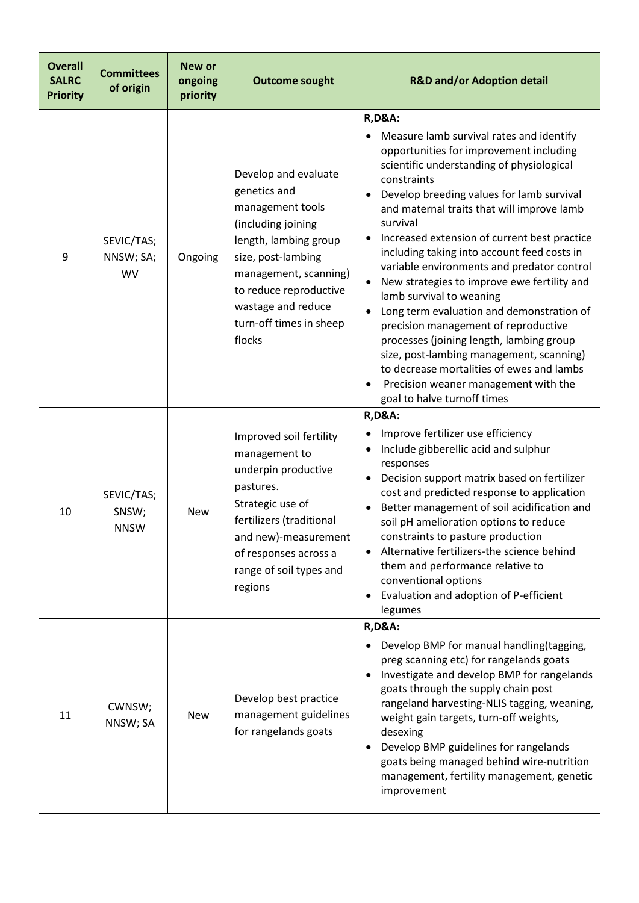| <b>Overall</b><br><b>SALRC</b><br><b>Priority</b> | <b>Committees</b><br>of origin       | New or<br>ongoing<br>priority | <b>Outcome sought</b>                                                                                                                                                                                                                       | <b>R&amp;D and/or Adoption detail</b>                                                                                                                                                                                                                                                                                                                                                                                                                                                                                                                                                                                                                                                                                                                                                                             |
|---------------------------------------------------|--------------------------------------|-------------------------------|---------------------------------------------------------------------------------------------------------------------------------------------------------------------------------------------------------------------------------------------|-------------------------------------------------------------------------------------------------------------------------------------------------------------------------------------------------------------------------------------------------------------------------------------------------------------------------------------------------------------------------------------------------------------------------------------------------------------------------------------------------------------------------------------------------------------------------------------------------------------------------------------------------------------------------------------------------------------------------------------------------------------------------------------------------------------------|
| 9                                                 | SEVIC/TAS;<br>NNSW; SA;<br><b>WV</b> | Ongoing                       | Develop and evaluate<br>genetics and<br>management tools<br>(including joining<br>length, lambing group<br>size, post-lambing<br>management, scanning)<br>to reduce reproductive<br>wastage and reduce<br>turn-off times in sheep<br>flocks | <b>R,D&amp;A:</b><br>Measure lamb survival rates and identify<br>opportunities for improvement including<br>scientific understanding of physiological<br>constraints<br>Develop breeding values for lamb survival<br>and maternal traits that will improve lamb<br>survival<br>Increased extension of current best practice<br>including taking into account feed costs in<br>variable environments and predator control<br>New strategies to improve ewe fertility and<br>$\bullet$<br>lamb survival to weaning<br>Long term evaluation and demonstration of<br>precision management of reproductive<br>processes (joining length, lambing group<br>size, post-lambing management, scanning)<br>to decrease mortalities of ewes and lambs<br>Precision weaner management with the<br>goal to halve turnoff times |
| 10                                                | SEVIC/TAS;<br>SNSW;<br><b>NNSW</b>   | <b>New</b>                    | Improved soil fertility<br>management to<br>underpin productive<br>pastures.<br>Strategic use of<br>fertilizers (traditional<br>and new)-measurement<br>of responses across a<br>range of soil types and<br>regions                         | <b>R,D&amp;A:</b><br>Improve fertilizer use efficiency<br>Include gibberellic acid and sulphur<br>$\bullet$<br>responses<br>Decision support matrix based on fertilizer<br>$\bullet$<br>cost and predicted response to application<br>Better management of soil acidification and<br>soil pH amelioration options to reduce<br>constraints to pasture production<br>Alternative fertilizers-the science behind<br>$\bullet$<br>them and performance relative to<br>conventional options<br>Evaluation and adoption of P-efficient<br>$\bullet$<br>legumes                                                                                                                                                                                                                                                         |
| 11                                                | CWNSW;<br>NNSW; SA                   | <b>New</b>                    | Develop best practice<br>management guidelines<br>for rangelands goats                                                                                                                                                                      | <b>R,D&amp;A:</b><br>Develop BMP for manual handling(tagging,<br>preg scanning etc) for rangelands goats<br>Investigate and develop BMP for rangelands<br>goats through the supply chain post<br>rangeland harvesting-NLIS tagging, weaning,<br>weight gain targets, turn-off weights,<br>desexing<br>Develop BMP guidelines for rangelands<br>goats being managed behind wire-nutrition<br>management, fertility management, genetic<br>improvement                                                                                                                                                                                                                                                                                                                                                              |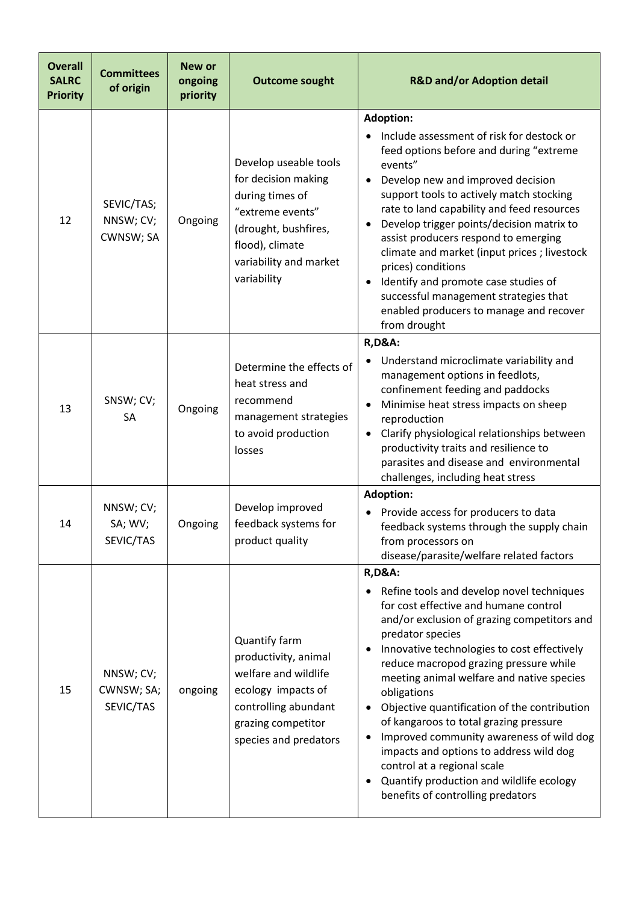| <b>Overall</b><br><b>SALRC</b><br><b>Priority</b> | <b>Committees</b><br>of origin       | <b>New or</b><br>ongoing<br>priority | <b>Outcome sought</b>                                                                                                                                                   | <b>R&amp;D and/or Adoption detail</b>                                                                                                                                                                                                                                                                                                                                                                                                                                                                                                                                                                                                                      |
|---------------------------------------------------|--------------------------------------|--------------------------------------|-------------------------------------------------------------------------------------------------------------------------------------------------------------------------|------------------------------------------------------------------------------------------------------------------------------------------------------------------------------------------------------------------------------------------------------------------------------------------------------------------------------------------------------------------------------------------------------------------------------------------------------------------------------------------------------------------------------------------------------------------------------------------------------------------------------------------------------------|
| 12                                                | SEVIC/TAS;<br>NNSW; CV;<br>CWNSW; SA | Ongoing                              | Develop useable tools<br>for decision making<br>during times of<br>"extreme events"<br>(drought, bushfires,<br>flood), climate<br>variability and market<br>variability | <b>Adoption:</b><br>Include assessment of risk for destock or<br>feed options before and during "extreme<br>events"<br>Develop new and improved decision<br>$\bullet$<br>support tools to actively match stocking<br>rate to land capability and feed resources<br>Develop trigger points/decision matrix to<br>assist producers respond to emerging<br>climate and market (input prices; livestock<br>prices) conditions<br>Identify and promote case studies of<br>$\bullet$<br>successful management strategies that<br>enabled producers to manage and recover<br>from drought                                                                         |
| 13                                                | SNSW; CV;<br>SA                      | Ongoing                              | Determine the effects of<br>heat stress and<br>recommend<br>management strategies<br>to avoid production<br>losses                                                      | <b>R,D&amp;A:</b><br>Understand microclimate variability and<br>management options in feedlots,<br>confinement feeding and paddocks<br>Minimise heat stress impacts on sheep<br>$\bullet$<br>reproduction<br>Clarify physiological relationships between<br>$\bullet$<br>productivity traits and resilience to<br>parasites and disease and environmental<br>challenges, including heat stress                                                                                                                                                                                                                                                             |
| 14                                                | NNSW; CV;<br>SA; WV;<br>SEVIC/TAS    | Ongoing                              | Develop improved<br>feedback systems for<br>product quality                                                                                                             | <b>Adoption:</b><br>Provide access for producers to data<br>feedback systems through the supply chain<br>from processors on<br>disease/parasite/welfare related factors                                                                                                                                                                                                                                                                                                                                                                                                                                                                                    |
| 15                                                | NNSW; CV;<br>CWNSW; SA;<br>SEVIC/TAS | ongoing                              | Quantify farm<br>productivity, animal<br>welfare and wildlife<br>ecology impacts of<br>controlling abundant<br>grazing competitor<br>species and predators              | <b>R,D&amp;A:</b><br>Refine tools and develop novel techniques<br>for cost effective and humane control<br>and/or exclusion of grazing competitors and<br>predator species<br>Innovative technologies to cost effectively<br>reduce macropod grazing pressure while<br>meeting animal welfare and native species<br>obligations<br>Objective quantification of the contribution<br>of kangaroos to total grazing pressure<br>Improved community awareness of wild dog<br>$\bullet$<br>impacts and options to address wild dog<br>control at a regional scale<br>Quantify production and wildlife ecology<br>$\bullet$<br>benefits of controlling predators |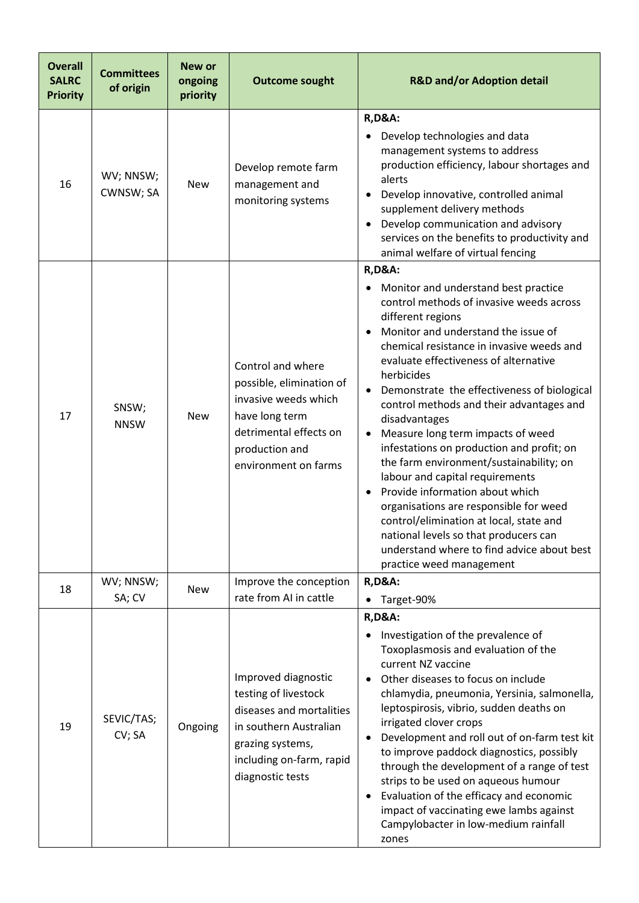| <b>Overall</b><br><b>SALRC</b><br><b>Priority</b> | <b>Committees</b><br>of origin | New or<br>ongoing<br>priority | <b>Outcome sought</b>                                                                                                                                                 | <b>R&amp;D and/or Adoption detail</b>                                                                                                                                                                                                                                                                                                                                                                                                                                                                                                                                                                                                                                                                                                                                                                                                            |
|---------------------------------------------------|--------------------------------|-------------------------------|-----------------------------------------------------------------------------------------------------------------------------------------------------------------------|--------------------------------------------------------------------------------------------------------------------------------------------------------------------------------------------------------------------------------------------------------------------------------------------------------------------------------------------------------------------------------------------------------------------------------------------------------------------------------------------------------------------------------------------------------------------------------------------------------------------------------------------------------------------------------------------------------------------------------------------------------------------------------------------------------------------------------------------------|
| 16                                                | WV; NNSW;<br>CWNSW; SA         | <b>New</b>                    | Develop remote farm<br>management and<br>monitoring systems                                                                                                           | <b>R,D&amp;A:</b><br>Develop technologies and data<br>management systems to address<br>production efficiency, labour shortages and<br>alerts<br>Develop innovative, controlled animal<br>supplement delivery methods<br>Develop communication and advisory<br>$\bullet$<br>services on the benefits to productivity and<br>animal welfare of virtual fencing                                                                                                                                                                                                                                                                                                                                                                                                                                                                                     |
| 17                                                | SNSW;<br><b>NNSW</b>           | <b>New</b>                    | Control and where<br>possible, elimination of<br>invasive weeds which<br>have long term<br>detrimental effects on<br>production and<br>environment on farms           | <b>R,D&amp;A:</b><br>Monitor and understand best practice<br>control methods of invasive weeds across<br>different regions<br>Monitor and understand the issue of<br>$\bullet$<br>chemical resistance in invasive weeds and<br>evaluate effectiveness of alternative<br>herbicides<br>Demonstrate the effectiveness of biological<br>$\bullet$<br>control methods and their advantages and<br>disadvantages<br>Measure long term impacts of weed<br>$\bullet$<br>infestations on production and profit; on<br>the farm environment/sustainability; on<br>labour and capital requirements<br>Provide information about which<br>$\bullet$<br>organisations are responsible for weed<br>control/elimination at local, state and<br>national levels so that producers can<br>understand where to find advice about best<br>practice weed management |
| 18                                                | WV; NNSW;<br>SA; CV            | <b>New</b>                    | Improve the conception<br>rate from AI in cattle                                                                                                                      | <b>R,D&amp;A:</b><br>Target-90%                                                                                                                                                                                                                                                                                                                                                                                                                                                                                                                                                                                                                                                                                                                                                                                                                  |
| 19                                                | SEVIC/TAS;<br>CV; SA           | Ongoing                       | Improved diagnostic<br>testing of livestock<br>diseases and mortalities<br>in southern Australian<br>grazing systems,<br>including on-farm, rapid<br>diagnostic tests | <b>R,D&amp;A:</b><br>Investigation of the prevalence of<br>Toxoplasmosis and evaluation of the<br>current NZ vaccine<br>Other diseases to focus on include<br>$\bullet$<br>chlamydia, pneumonia, Yersinia, salmonella,<br>leptospirosis, vibrio, sudden deaths on<br>irrigated clover crops<br>Development and roll out of on-farm test kit<br>$\bullet$<br>to improve paddock diagnostics, possibly<br>through the development of a range of test<br>strips to be used on aqueous humour<br>Evaluation of the efficacy and economic<br>$\bullet$<br>impact of vaccinating ewe lambs against<br>Campylobacter in low-medium rainfall<br>zones                                                                                                                                                                                                    |